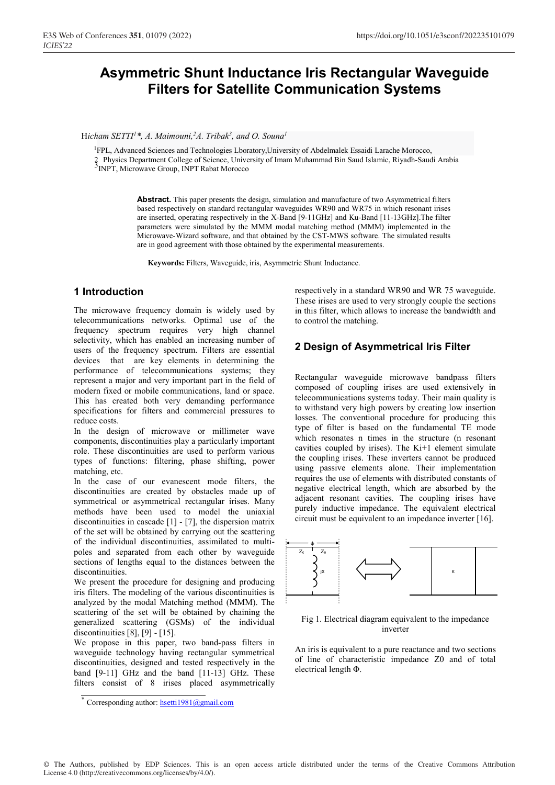# **Asymmetric Shunt Inductance Iris Rectangular Waveguide Filters for Satellite Communication Systems**

Hicham SETTI<sup>1</sup>\*, A. Maimouni,<sup>2</sup>A. Tribak<sup>3</sup>, and O. Souna<sup>1</sup>

<sup>1</sup>FPL, Advanced Sciences and Technologies Lboratory, University of Abdelmalek Essaidi Larache Morocco, 2 Physics Department College of Science, University of Imam Muhammad Bin Saud Islamic, Riyadh-Saudi Arabia<br><sup>3</sup>INPT, Microwave Group, INPT Rabat Morocco

> **Abstract.** This paper presents the design, simulation and manufacture of two Asymmetrical filters based respectively on standard rectangular waveguides WR90 and WR75 in which resonant irises are inserted, operating respectively in the X-Band [9-11GHz] and Ku-Band [11-13GHz].The filter parameters were simulated by the MMM modal matching method (MMM) implemented in the Microwave-Wizard software, and that obtained by the CST-MWS software. The simulated results are in good agreement with those obtained by the experimental measurements.

**Keywords:** Filters, Waveguide, iris, Asymmetric Shunt Inductance.

### **1 Introduction**

The microwave frequency domain is widely used by telecommunications networks. Optimal use of the frequency spectrum requires very high channel selectivity, which has enabled an increasing number of users of the frequency spectrum. Filters are essential devices that are key elements in determining the performance of telecommunications systems; they represent a major and very important part in the field of modern fixed or mobile communications, land or space. This has created both very demanding performance specifications for filters and commercial pressures to reduce costs.

In the design of microwave or millimeter wave components, discontinuities play a particularly important role. These discontinuities are used to perform various types of functions: filtering, phase shifting, power matching, etc.

In the case of our evanescent mode filters, the discontinuities are created by obstacles made up of symmetrical or asymmetrical rectangular irises. Many methods have been used to model the uniaxial discontinuities in cascade [1] - [7], the dispersion matrix of the set will be obtained by carrying out the scattering of the individual discontinuities, assimilated to multipoles and separated from each other by waveguide sections of lengths equal to the distances between the discontinuities.

We present the procedure for designing and producing iris filters. The modeling of the various discontinuities is analyzed by the modal Matching method (MMM). The scattering of the set will be obtained by chaining the generalized scattering (GSMs) of the individual discontinuities [8], [9] - [15].

We propose in this paper, two band-pass filters in waveguide technology having rectangular symmetrical discontinuities, designed and tested respectively in the band [9-11] GHz and the band [11-13] GHz. These filters consist of 8 irises placed asymmetrically respectively in a standard WR90 and WR 75 waveguide. These irises are used to very strongly couple the sections in this filter, which allows to increase the bandwidth and to control the matching.

### **2 Design of Asymmetrical Iris Filter**

Rectangular waveguide microwave bandpass filters composed of coupling irises are used extensively in telecommunications systems today. Their main quality is to withstand very high powers by creating low insertion losses. The conventional procedure for producing this type of filter is based on the fundamental TE mode which resonates n times in the structure (n resonant cavities coupled by irises). The Ki+1 element simulate the coupling irises. These inverters cannot be produced using passive elements alone. Their implementation requires the use of elements with distributed constants of negative electrical length, which are absorbed by the adjacent resonant cavities. The coupling irises have purely inductive impedance. The equivalent electrical circuit must be equivalent to an impedance inverter [16].



Fig 1. Electrical diagram equivalent to the impedance inverter

An iris is equivalent to a pure reactance and two sections of line of characteristic impedance Z0 and of total electrical length Φ.

<sup>\*</sup> Corresponding author: hsetti1981@gmail.com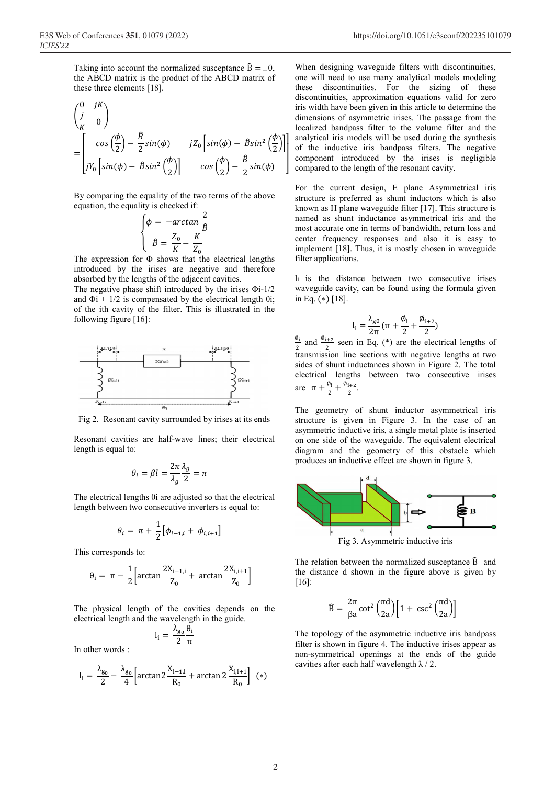Taking into account the normalized susceptance  $\hat{B} = \Box 0$ , the ABCD matrix is the product of the ABCD matrix of these three elements [18].

$$
\begin{pmatrix}\n0 & jK \\
\frac{j}{K} & 0\n\end{pmatrix}\n= \begin{bmatrix}\n\cos\left(\frac{\phi}{2}\right) - \frac{\hat{B}}{2}\sin(\phi) & jZ_0\left[\sin(\phi) - \hat{B}\sin^2\left(\frac{\phi}{2}\right)\right] \\
jY_0\left[\sin(\phi) - \hat{B}\sin^2\left(\frac{\phi}{2}\right)\right] & \cos\left(\frac{\phi}{2}\right) - \frac{\hat{B}}{2}\sin(\phi)\n\end{bmatrix}
$$

By comparing the equality of the two terms of the above equation, the equality is checked if:

$$
\begin{cases}\n\phi = -\arctan\frac{2}{\hat{B}} \\
\hat{B} = \frac{Z_0}{K} - \frac{K}{Z_0}\n\end{cases}
$$

 $\left(\hat{B} = \frac{20}{K} - \frac{K}{Z_0}\right)$ <br>The expression for  $\Phi$  shows that the electrical lengths introduced by the irises are negative and therefore absorbed by the lengths of the adjacent cavities.

The negative phase shift introduced by the irises Φi-1/2 and  $\Phi$ i + 1/2 is compensated by the electrical length  $\theta$ i; of the ith cavity of the filter. This is illustrated in the following figure [16]:



Fig 2. Resonant cavity surrounded by irises at its ends

Resonant cavities are half-wave lines; their electrical length is equal to:

$$
\theta_i = \beta l = \frac{2\pi}{\lambda_g} \frac{\lambda_g}{2} = \pi
$$

The electrical lengths θi are adjusted so that the electrical length between two consecutive inverters is equal to:

$$
\theta_i = \pi + \frac{1}{2} [\phi_{i-1,i} + \phi_{i,i+1}]
$$

This corresponds to:

$$
\theta_i = \pi - \frac{1}{2} \Big[ \arctan \frac{2X_{i-1,i}}{Z_0} + \arctan \frac{2X_{i,i+1}}{Z_0} \Big]
$$

The physical length of the cavities depends on the electrical length and the wavelength in the guide.

$$
l_i = \frac{\lambda_{g_0}}{2} \frac{\theta_i}{\pi}
$$

In other words :

$$
l_i = \frac{\lambda_{g_0}}{2} - \frac{\lambda_{g_0}}{4} \left[ \arctan 2 \frac{X_{i-1,i}}{R_0} + \arctan 2 \frac{X_{i,i+1}}{R_0} \right] (*)
$$

When designing waveguide filters with discontinuities, one will need to use many analytical models modeling these discontinuities. For the sizing of these discontinuities, approximation equations valid for zero iris width have been given in this article to determine the dimensions of asymmetric irises. The passage from the localized bandpass filter to the volume filter and the analytical iris models will be used during the synthesis of the inductive iris bandpass filters. The negative component introduced by the irises is negligible compared to the length of the resonant cavity.

For the current design, E plane Asymmetrical iris structure is preferred as shunt inductors which is also known as H plane waveguide filter [17]. This structure is named as shunt inductance asymmetrical iris and the most accurate one in terms of bandwidth, return loss and center frequency responses and also it is easy to implement [18]. Thus, it is mostly chosen in waveguide filter applications.

li is the distance between two consecutive irises waveguide cavity, can be found using the formula given in Eq. (∗) [18].

$$
l_i=\frac{\lambda_{g0}}{2\pi}\,(\pi+\frac{\text{\O{}}_i}{2}+\frac{\text{\O{}}_{i+2}}{2})
$$

 $I_i = \frac{1}{2\pi}(\pi + \frac{1}{2} + \frac{1}{2})$ <br>  $\frac{\phi_i}{\phi_i}$  and  $\frac{\phi_{i+2}}{2}$  seen in Eq. (\*) are the electrical lengths of transmission line sections with negative lengths at two sides of shunt inductances shown in Figure 2. The total electrical lengths between two consecutive irises are  $\pi + \frac{\varnothing_i}{2} + \frac{\varnothing_{i+2}}{2}$ .

The geometry of shunt inductor asymmetrical iris structure is given in Figure 3. In the case of an asymmetric inductive iris, a single metal plate is inserted on one side of the waveguide. The equivalent electrical diagram and the geometry of this obstacle which produces an inductive effect are shown in figure 3.



The relation between the normalized susceptance  $\hat{B}$  and the distance d shown in the figure above is given by [16]:

$$
\widehat{B} = \frac{2\pi}{\beta a} \cot^2 \left(\frac{\pi d}{2a}\right) \left[1 + \csc^2 \left(\frac{\pi d}{2a}\right)\right]
$$

The topology of the asymmetric inductive iris bandpass filter is shown in figure 4. The inductive irises appear as non-symmetrical openings at the ends of the guide cavities after each half wavelength  $\lambda$  / 2.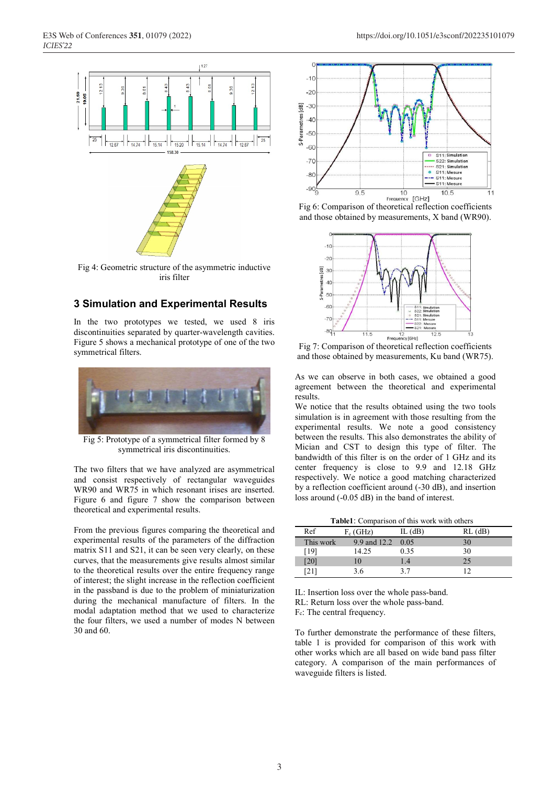

Fig 4: Geometric structure of the asymmetric inductive iris filter

# **3 Simulation and Experimental Results**

In the two prototypes we tested, we used 8 iris discontinuities separated by quarter-wavelength cavities. Figure 5 shows a mechanical prototype of one of the two symmetrical filters.



Fig 5: Prototype of a symmetrical filter formed by 8 symmetrical iris discontinuities.

The two filters that we have analyzed are asymmetrical and consist respectively of rectangular waveguides WR90 and WR75 in which resonant irises are inserted. Figure 6 and figure 7 show the comparison between theoretical and experimental results.

From the previous figures comparing the theoretical and experimental results of the parameters of the diffraction matrix S11 and S21, it can be seen very clearly, on these curves, that the measurements give results almost similar to the theoretical results over the entire frequency range of interest; the slight increase in the reflection coefficient in the passband is due to the problem of miniaturization during the mechanical manufacture of filters. In the modal adaptation method that we used to characterize the four filters, we used a number of modes N between 30 and 60.



Fig 6: Comparison of theoretical reflection coefficients and those obtained by measurements, X band (WR90).



Fig 7: Comparison of theoretical reflection coefficients and those obtained by measurements, Ku band (WR75).

As we can observe in both cases, we obtained a good agreement between the theoretical and experimental results.

We notice that the results obtained using the two tools simulation is in agreement with those resulting from the experimental results. We note a good consistency between the results. This also demonstrates the ability of Mician and CST to design this type of filter. The bandwidth of this filter is on the order of 1 GHz and its center frequency is close to 9.9 and 12.18 GHz respectively. We notice a good matching characterized by a reflection coefficient around (-30 dB), and insertion loss around (-0.05 dB) in the band of interest.

**Table1**: Comparison of this work with others

| Ref       | $F_c$ (GHz)       | IL $(dB)$ | $RL$ (dB) |
|-----------|-------------------|-----------|-----------|
| This work | 9.9 and 12.2 0.05 |           | 30        |
| [19]      | 14.25             | 0.35      | 30        |
| [20]      |                   | 1.4       | 25        |
|           | 3.6               | 37        |           |

IL: Insertion loss over the whole pass-band.

RL: Return loss over the whole pass-band.

Fc: The central frequency.

To further demonstrate the performance of these filters, table 1 is provided for comparison of this work with other works which are all based on wide band pass filter category. A comparison of the main performances of waveguide filters is listed.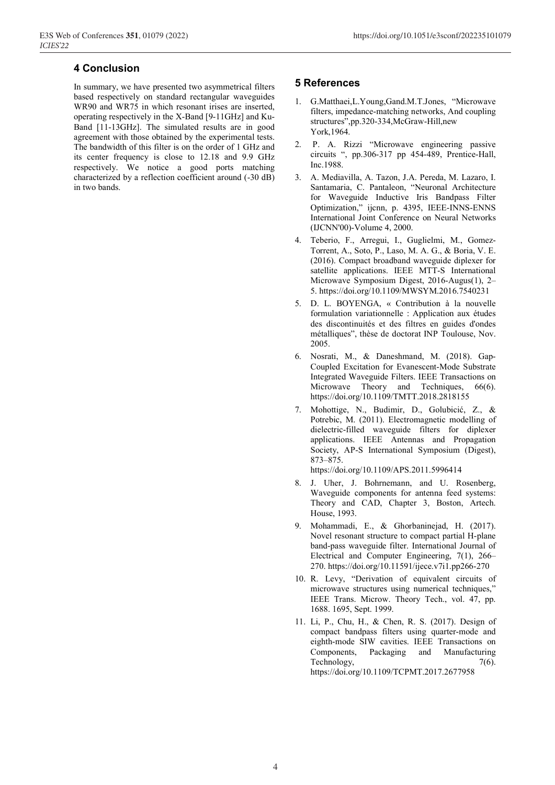# **4 Conclusion**

In summary, we have presented two asymmetrical filters based respectively on standard rectangular waveguides WR90 and WR75 in which resonant irises are inserted, operating respectively in the X-Band [9-11GHz] and Ku-Band [11-13GHz]. The simulated results are in good agreement with those obtained by the experimental tests. The bandwidth of this filter is on the order of 1 GHz and its center frequency is close to 12.18 and 9.9 GHz respectively. We notice a good ports matching characterized by a reflection coefficient around (-30 dB) in two bands.

#### **5 References**

- 1. G.Matthaei,L.Young,Gand.M.T.Jones, "Microwave filters, impedance-matching networks, And coupling structures",pp.320-334,McGraw-Hill,new York,1964.
- 2. P. A. Rizzi "Microwave engineering passive circuits ", pp.306-317 pp 454-489, Prentice-Hall, Inc.1988.
- 3. A. Mediavilla, A. Tazon, J.A. Pereda, M. Lazaro, I. Santamaria, C. Pantaleon, "Neuronal Architecture for Waveguide Inductive Iris Bandpass Filter Optimization," ijcnn, p. 4395, IEEE-INNS-ENNS International Joint Conference on Neural Networks (IJCNN'00)-Volume 4, 2000.
- 4. Teberio, F., Arregui, I., Guglielmi, M., Gomez-Torrent, A., Soto, P., Laso, M. A. G., & Boria, V. E. (2016). Compact broadband waveguide diplexer for satellite applications. IEEE MTT-S International Microwave Symposium Digest, 2016-Augus(1), 2– 5. https://doi.org/10.1109/MWSYM.2016.7540231
- 5. D. L. BOYENGA, « Contribution à la nouvelle formulation variationnelle : Application aux études des discontinuités et des filtres en guides d'ondes métalliques", thèse de doctorat INP Toulouse, Nov. 2005.
- 6. Nosrati, M., & Daneshmand, M. (2018). Gap-Coupled Excitation for Evanescent-Mode Substrate Integrated Waveguide Filters. IEEE Transactions on Microwave Theory and Techniques, 66(6). https://doi.org/10.1109/TMTT.2018.2818155
- 7. Mohottige, N., Budimir, D., Golubicić, Z., & Potrebic, M. (2011). Electromagnetic modelling of dielectric-filled waveguide filters for diplexer applications. IEEE Antennas and Propagation Society, AP-S International Symposium (Digest), 873–875.

https://doi.org/10.1109/APS.2011.5996414

- 8. J. Uher, J. Bohrnemann, and U. Rosenberg, Waveguide components for antenna feed systems: Theory and CAD, Chapter 3, Boston, Artech. House, 1993.
- 9. Mohammadi, E., & Ghorbaninejad, H. (2017). Novel resonant structure to compact partial H-plane band-pass waveguide filter. International Journal of Electrical and Computer Engineering, 7(1), 266– 270. https://doi.org/10.11591/ijece.v7i1.pp266-270
- 10. R. Levy, "Derivation of equivalent circuits of microwave structures using numerical techniques," IEEE Trans. Microw. Theory Tech., vol. 47, pp. 1688. 1695, Sept. 1999.
- 11. Li, P., Chu, H., & Chen, R. S. (2017). Design of compact bandpass filters using quarter-mode and eighth-mode SIW cavities. IEEE Transactions on Components, Packaging and Manufacturing Technology,  $7(6)$ . https://doi.org/10.1109/TCPMT.2017.2677958